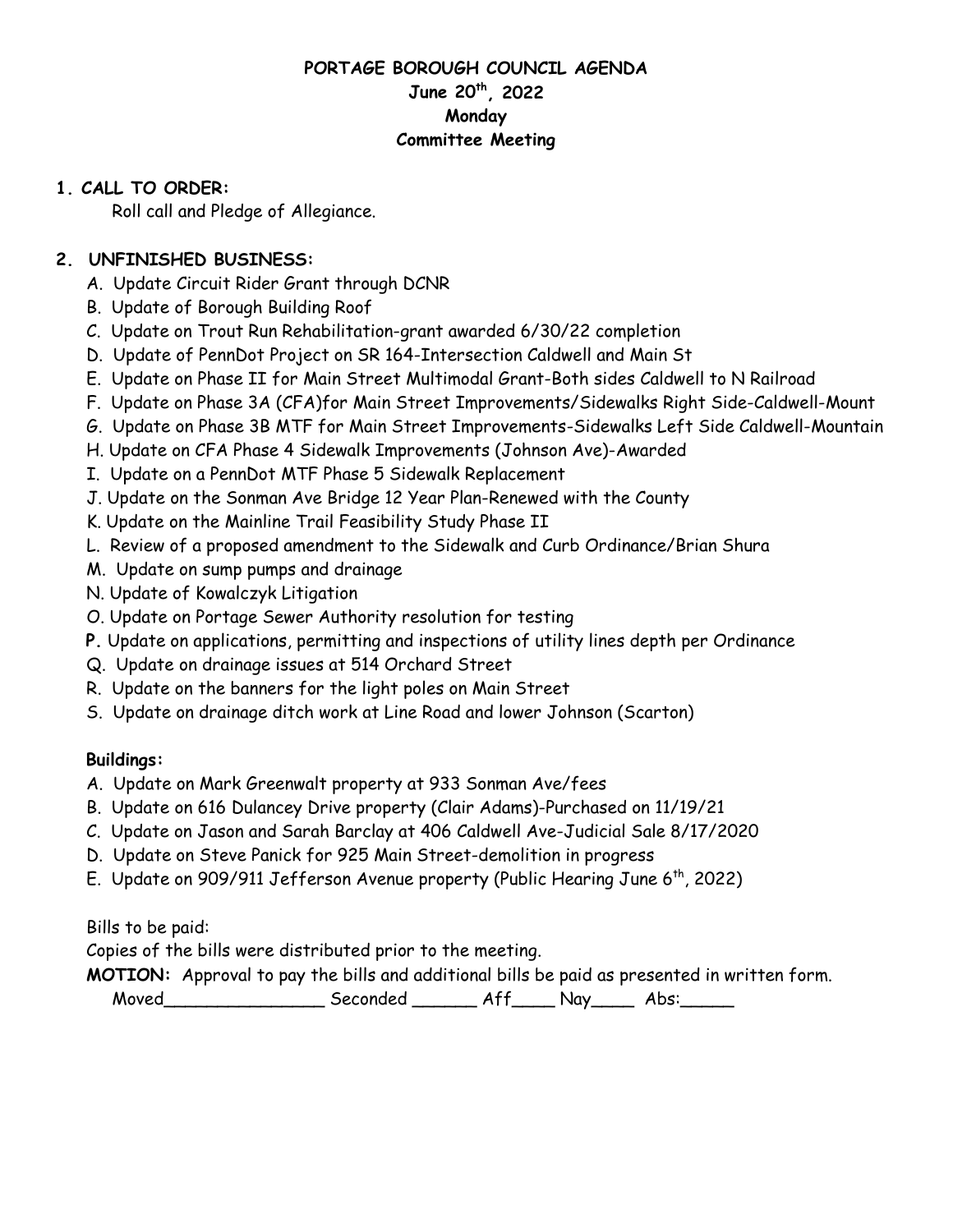### **PORTAGE BOROUGH COUNCIL AGENDA June 20th, 2022 Monday Committee Meeting**

### **1. CALL TO ORDER:**

Roll call and Pledge of Allegiance.

## **2. UNFINISHED BUSINESS:**

- A. Update Circuit Rider Grant through DCNR
- B. Update of Borough Building Roof
- C. Update on Trout Run Rehabilitation-grant awarded 6/30/22 completion
- D. Update of PennDot Project on SR 164-Intersection Caldwell and Main St
- E. Update on Phase II for Main Street Multimodal Grant-Both sides Caldwell to N Railroad
- F. Update on Phase 3A (CFA)for Main Street Improvements/Sidewalks Right Side-Caldwell-Mount
- G. Update on Phase 3B MTF for Main Street Improvements-Sidewalks Left Side Caldwell-Mountain
- H. Update on CFA Phase 4 Sidewalk Improvements (Johnson Ave)-Awarded
- I. Update on a PennDot MTF Phase 5 Sidewalk Replacement
- J. Update on the Sonman Ave Bridge 12 Year Plan-Renewed with the County
- K. Update on the Mainline Trail Feasibility Study Phase II
- L. Review of a proposed amendment to the Sidewalk and Curb Ordinance/Brian Shura
- M. Update on sump pumps and drainage
- N. Update of Kowalczyk Litigation
- O. Update on Portage Sewer Authority resolution for testing
- **P.** Update on applications, permitting and inspections of utility lines depth per Ordinance
- Q. Update on drainage issues at 514 Orchard Street
- R. Update on the banners for the light poles on Main Street
- S. Update on drainage ditch work at Line Road and lower Johnson (Scarton)

# **Buildings:**

- A. Update on Mark Greenwalt property at 933 Sonman Ave/fees
- B. Update on 616 Dulancey Drive property (Clair Adams)-Purchased on 11/19/21
- C. Update on Jason and Sarah Barclay at 406 Caldwell Ave-Judicial Sale 8/17/2020
- D. Update on Steve Panick for 925 Main Street-demolition in progress
- E. Update on 909/911 Jefferson Avenue property (Public Hearing June 6<sup>th</sup>, 2022)

Bills to be paid:

Copies of the bills were distributed prior to the meeting.

**MOTION:** Approval to pay the bills and additional bills be paid as presented in written form. Moved\_\_\_\_\_\_\_\_\_\_\_\_\_\_\_\_\_\_\_\_\_\_\_ Seconded \_\_\_\_\_\_\_\_\_ Aff\_\_\_\_\_\_ Nay\_\_\_\_\_\_ Abs:\_\_\_\_\_\_\_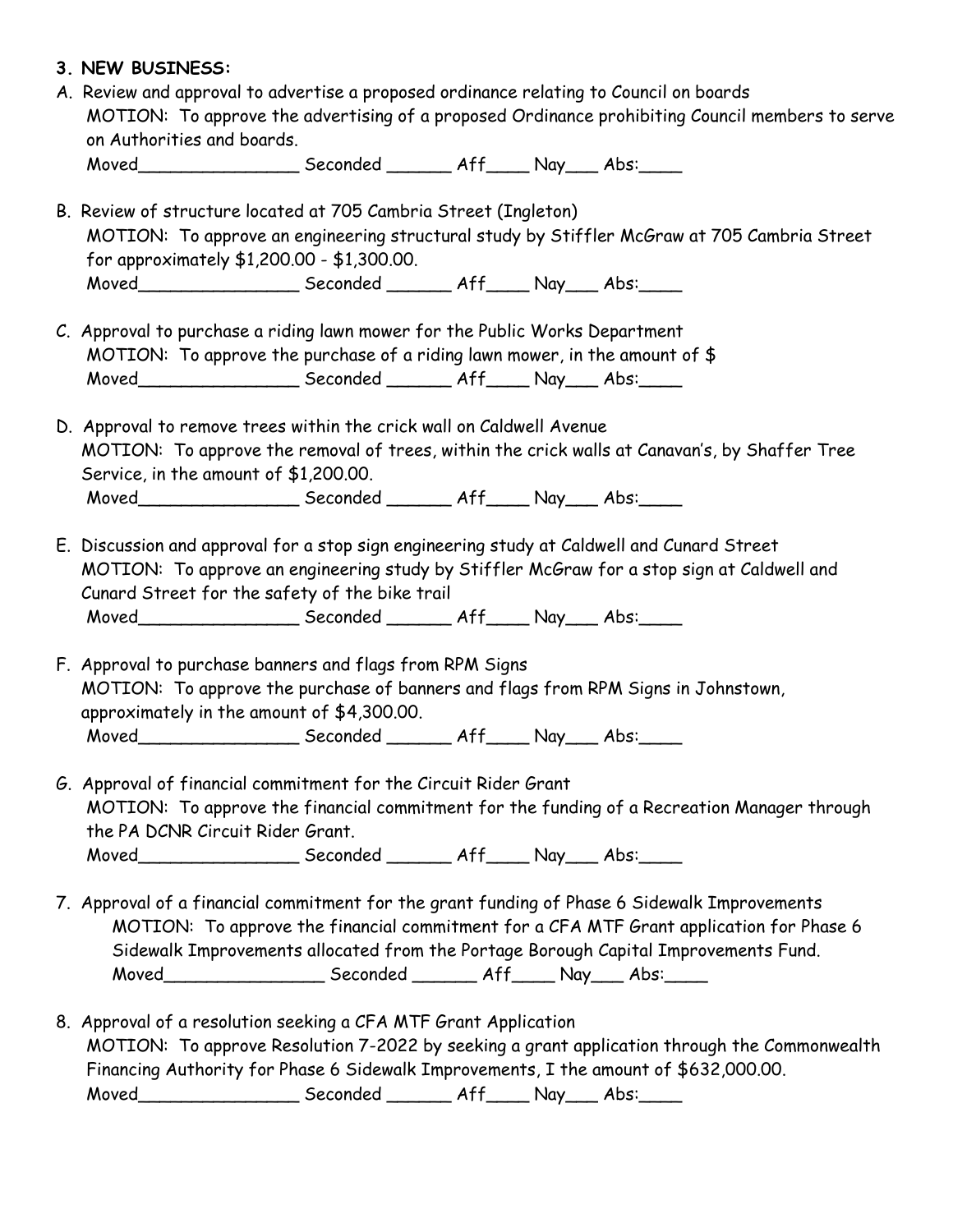| Moved________________________Seconded _________ Aff______ Nay____ Abs:_____<br>B. Review of structure located at 705 Cambria Street (Ingleton)<br>MOTION: To approve an engineering structural study by Stiffler McGraw at 705 Cambria Street<br>for approximately \$1,200.00 - \$1,300.00.<br>Moved_______________________Seconded ________ Aff_____ Nay____ Abs:_____<br>C. Approval to purchase a riding lawn mower for the Public Works Department<br>MOTION: To approve the purchase of a riding lawn mower, in the amount of $$$<br>Moved________________________Seconded _________ Aff______ Nay____ Abs:______<br>D. Approval to remove trees within the crick wall on Caldwell Avenue<br>MOTION: To approve the removal of trees, within the crick walls at Canavan's, by Shaffer Tree<br>Service, in the amount of \$1,200.00.<br>Moved___________________________ Seconded __________ Aff______ Nay_____ Abs:_____<br>E. Discussion and approval for a stop sign engineering study at Caldwell and Cunard Street<br>MOTION: To approve an engineering study by Stiffler McGraw for a stop sign at Caldwell and<br>Cunard Street for the safety of the bike trail<br>Moved________________________Seconded _________ Aff______ Nay____ Abs:_____<br>F. Approval to purchase banners and flags from RPM Signs<br>MOTION: To approve the purchase of banners and flags from RPM Signs in Johnstown,<br>approximately in the amount of \$4,300.00.<br>Moved______________________Seconded ________ Aff_____ Nay____ Abs:_____<br>G. Approval of financial commitment for the Circuit Rider Grant<br>MOTION: To approve the financial commitment for the funding of a Recreation Manager through<br>the PA DCNR Circuit Rider Grant.<br>Moved________________________Seconded _________ Aff______ Nay____ Abs:______<br>7. Approval of a financial commitment for the grant funding of Phase 6 Sidewalk Improvements<br>MOTION: To approve the financial commitment for a CFA MTF Grant application for Phase 6<br>Sidewalk Improvements allocated from the Portage Borough Capital Improvements Fund.<br>Moved_________________________Seconded _________ Aff______ Nay____ Abs:______<br>8. Approval of a resolution seeking a CFA MTF Grant Application | on Authorities and boards. |  |  |
|------------------------------------------------------------------------------------------------------------------------------------------------------------------------------------------------------------------------------------------------------------------------------------------------------------------------------------------------------------------------------------------------------------------------------------------------------------------------------------------------------------------------------------------------------------------------------------------------------------------------------------------------------------------------------------------------------------------------------------------------------------------------------------------------------------------------------------------------------------------------------------------------------------------------------------------------------------------------------------------------------------------------------------------------------------------------------------------------------------------------------------------------------------------------------------------------------------------------------------------------------------------------------------------------------------------------------------------------------------------------------------------------------------------------------------------------------------------------------------------------------------------------------------------------------------------------------------------------------------------------------------------------------------------------------------------------------------------------------------------------------------------------------------------------------------------------------------------------------------------------------------------------------------------------------------------------------------------------------------------------------------------------------------------------------------------------------------------------------------------------------------------------------------------------------------------------------------------------------------------------------------------|----------------------------|--|--|
|                                                                                                                                                                                                                                                                                                                                                                                                                                                                                                                                                                                                                                                                                                                                                                                                                                                                                                                                                                                                                                                                                                                                                                                                                                                                                                                                                                                                                                                                                                                                                                                                                                                                                                                                                                                                                                                                                                                                                                                                                                                                                                                                                                                                                                                                  |                            |  |  |
|                                                                                                                                                                                                                                                                                                                                                                                                                                                                                                                                                                                                                                                                                                                                                                                                                                                                                                                                                                                                                                                                                                                                                                                                                                                                                                                                                                                                                                                                                                                                                                                                                                                                                                                                                                                                                                                                                                                                                                                                                                                                                                                                                                                                                                                                  |                            |  |  |
|                                                                                                                                                                                                                                                                                                                                                                                                                                                                                                                                                                                                                                                                                                                                                                                                                                                                                                                                                                                                                                                                                                                                                                                                                                                                                                                                                                                                                                                                                                                                                                                                                                                                                                                                                                                                                                                                                                                                                                                                                                                                                                                                                                                                                                                                  |                            |  |  |
|                                                                                                                                                                                                                                                                                                                                                                                                                                                                                                                                                                                                                                                                                                                                                                                                                                                                                                                                                                                                                                                                                                                                                                                                                                                                                                                                                                                                                                                                                                                                                                                                                                                                                                                                                                                                                                                                                                                                                                                                                                                                                                                                                                                                                                                                  |                            |  |  |
|                                                                                                                                                                                                                                                                                                                                                                                                                                                                                                                                                                                                                                                                                                                                                                                                                                                                                                                                                                                                                                                                                                                                                                                                                                                                                                                                                                                                                                                                                                                                                                                                                                                                                                                                                                                                                                                                                                                                                                                                                                                                                                                                                                                                                                                                  |                            |  |  |
|                                                                                                                                                                                                                                                                                                                                                                                                                                                                                                                                                                                                                                                                                                                                                                                                                                                                                                                                                                                                                                                                                                                                                                                                                                                                                                                                                                                                                                                                                                                                                                                                                                                                                                                                                                                                                                                                                                                                                                                                                                                                                                                                                                                                                                                                  |                            |  |  |
|                                                                                                                                                                                                                                                                                                                                                                                                                                                                                                                                                                                                                                                                                                                                                                                                                                                                                                                                                                                                                                                                                                                                                                                                                                                                                                                                                                                                                                                                                                                                                                                                                                                                                                                                                                                                                                                                                                                                                                                                                                                                                                                                                                                                                                                                  |                            |  |  |
|                                                                                                                                                                                                                                                                                                                                                                                                                                                                                                                                                                                                                                                                                                                                                                                                                                                                                                                                                                                                                                                                                                                                                                                                                                                                                                                                                                                                                                                                                                                                                                                                                                                                                                                                                                                                                                                                                                                                                                                                                                                                                                                                                                                                                                                                  |                            |  |  |
|                                                                                                                                                                                                                                                                                                                                                                                                                                                                                                                                                                                                                                                                                                                                                                                                                                                                                                                                                                                                                                                                                                                                                                                                                                                                                                                                                                                                                                                                                                                                                                                                                                                                                                                                                                                                                                                                                                                                                                                                                                                                                                                                                                                                                                                                  |                            |  |  |
|                                                                                                                                                                                                                                                                                                                                                                                                                                                                                                                                                                                                                                                                                                                                                                                                                                                                                                                                                                                                                                                                                                                                                                                                                                                                                                                                                                                                                                                                                                                                                                                                                                                                                                                                                                                                                                                                                                                                                                                                                                                                                                                                                                                                                                                                  |                            |  |  |
|                                                                                                                                                                                                                                                                                                                                                                                                                                                                                                                                                                                                                                                                                                                                                                                                                                                                                                                                                                                                                                                                                                                                                                                                                                                                                                                                                                                                                                                                                                                                                                                                                                                                                                                                                                                                                                                                                                                                                                                                                                                                                                                                                                                                                                                                  |                            |  |  |
|                                                                                                                                                                                                                                                                                                                                                                                                                                                                                                                                                                                                                                                                                                                                                                                                                                                                                                                                                                                                                                                                                                                                                                                                                                                                                                                                                                                                                                                                                                                                                                                                                                                                                                                                                                                                                                                                                                                                                                                                                                                                                                                                                                                                                                                                  |                            |  |  |
|                                                                                                                                                                                                                                                                                                                                                                                                                                                                                                                                                                                                                                                                                                                                                                                                                                                                                                                                                                                                                                                                                                                                                                                                                                                                                                                                                                                                                                                                                                                                                                                                                                                                                                                                                                                                                                                                                                                                                                                                                                                                                                                                                                                                                                                                  |                            |  |  |
|                                                                                                                                                                                                                                                                                                                                                                                                                                                                                                                                                                                                                                                                                                                                                                                                                                                                                                                                                                                                                                                                                                                                                                                                                                                                                                                                                                                                                                                                                                                                                                                                                                                                                                                                                                                                                                                                                                                                                                                                                                                                                                                                                                                                                                                                  |                            |  |  |
|                                                                                                                                                                                                                                                                                                                                                                                                                                                                                                                                                                                                                                                                                                                                                                                                                                                                                                                                                                                                                                                                                                                                                                                                                                                                                                                                                                                                                                                                                                                                                                                                                                                                                                                                                                                                                                                                                                                                                                                                                                                                                                                                                                                                                                                                  |                            |  |  |
|                                                                                                                                                                                                                                                                                                                                                                                                                                                                                                                                                                                                                                                                                                                                                                                                                                                                                                                                                                                                                                                                                                                                                                                                                                                                                                                                                                                                                                                                                                                                                                                                                                                                                                                                                                                                                                                                                                                                                                                                                                                                                                                                                                                                                                                                  |                            |  |  |
|                                                                                                                                                                                                                                                                                                                                                                                                                                                                                                                                                                                                                                                                                                                                                                                                                                                                                                                                                                                                                                                                                                                                                                                                                                                                                                                                                                                                                                                                                                                                                                                                                                                                                                                                                                                                                                                                                                                                                                                                                                                                                                                                                                                                                                                                  |                            |  |  |
|                                                                                                                                                                                                                                                                                                                                                                                                                                                                                                                                                                                                                                                                                                                                                                                                                                                                                                                                                                                                                                                                                                                                                                                                                                                                                                                                                                                                                                                                                                                                                                                                                                                                                                                                                                                                                                                                                                                                                                                                                                                                                                                                                                                                                                                                  |                            |  |  |
|                                                                                                                                                                                                                                                                                                                                                                                                                                                                                                                                                                                                                                                                                                                                                                                                                                                                                                                                                                                                                                                                                                                                                                                                                                                                                                                                                                                                                                                                                                                                                                                                                                                                                                                                                                                                                                                                                                                                                                                                                                                                                                                                                                                                                                                                  |                            |  |  |
|                                                                                                                                                                                                                                                                                                                                                                                                                                                                                                                                                                                                                                                                                                                                                                                                                                                                                                                                                                                                                                                                                                                                                                                                                                                                                                                                                                                                                                                                                                                                                                                                                                                                                                                                                                                                                                                                                                                                                                                                                                                                                                                                                                                                                                                                  |                            |  |  |
|                                                                                                                                                                                                                                                                                                                                                                                                                                                                                                                                                                                                                                                                                                                                                                                                                                                                                                                                                                                                                                                                                                                                                                                                                                                                                                                                                                                                                                                                                                                                                                                                                                                                                                                                                                                                                                                                                                                                                                                                                                                                                                                                                                                                                                                                  |                            |  |  |
|                                                                                                                                                                                                                                                                                                                                                                                                                                                                                                                                                                                                                                                                                                                                                                                                                                                                                                                                                                                                                                                                                                                                                                                                                                                                                                                                                                                                                                                                                                                                                                                                                                                                                                                                                                                                                                                                                                                                                                                                                                                                                                                                                                                                                                                                  |                            |  |  |
|                                                                                                                                                                                                                                                                                                                                                                                                                                                                                                                                                                                                                                                                                                                                                                                                                                                                                                                                                                                                                                                                                                                                                                                                                                                                                                                                                                                                                                                                                                                                                                                                                                                                                                                                                                                                                                                                                                                                                                                                                                                                                                                                                                                                                                                                  |                            |  |  |
|                                                                                                                                                                                                                                                                                                                                                                                                                                                                                                                                                                                                                                                                                                                                                                                                                                                                                                                                                                                                                                                                                                                                                                                                                                                                                                                                                                                                                                                                                                                                                                                                                                                                                                                                                                                                                                                                                                                                                                                                                                                                                                                                                                                                                                                                  |                            |  |  |
|                                                                                                                                                                                                                                                                                                                                                                                                                                                                                                                                                                                                                                                                                                                                                                                                                                                                                                                                                                                                                                                                                                                                                                                                                                                                                                                                                                                                                                                                                                                                                                                                                                                                                                                                                                                                                                                                                                                                                                                                                                                                                                                                                                                                                                                                  |                            |  |  |
|                                                                                                                                                                                                                                                                                                                                                                                                                                                                                                                                                                                                                                                                                                                                                                                                                                                                                                                                                                                                                                                                                                                                                                                                                                                                                                                                                                                                                                                                                                                                                                                                                                                                                                                                                                                                                                                                                                                                                                                                                                                                                                                                                                                                                                                                  |                            |  |  |
|                                                                                                                                                                                                                                                                                                                                                                                                                                                                                                                                                                                                                                                                                                                                                                                                                                                                                                                                                                                                                                                                                                                                                                                                                                                                                                                                                                                                                                                                                                                                                                                                                                                                                                                                                                                                                                                                                                                                                                                                                                                                                                                                                                                                                                                                  |                            |  |  |
| MOTION: To approve Resolution 7-2022 by seeking a grant application through the Commonwealth<br>Financing Authority for Phase 6 Sidewalk Improvements, I the amount of \$632,000.00.                                                                                                                                                                                                                                                                                                                                                                                                                                                                                                                                                                                                                                                                                                                                                                                                                                                                                                                                                                                                                                                                                                                                                                                                                                                                                                                                                                                                                                                                                                                                                                                                                                                                                                                                                                                                                                                                                                                                                                                                                                                                             |                            |  |  |